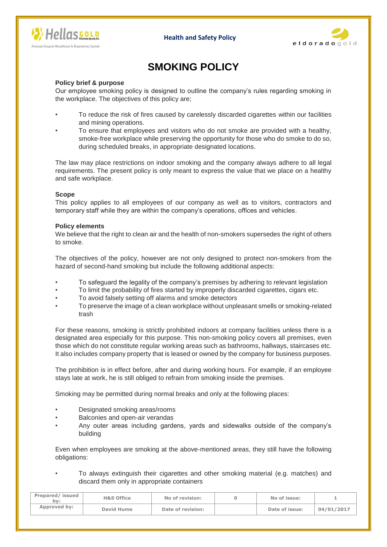





# **SMOKING POLICY**

### **Policy brief & purpose**

Our employee smoking policy is designed to outline the company's rules regarding smoking in the workplace. The objectives of this policy are;

- To reduce the risk of fires caused by carelessly discarded cigarettes within our facilities and mining operations.
- To ensure that employees and visitors who do not smoke are provided with a healthy, smoke-free workplace while preserving the opportunity for those who do smoke to do so, during scheduled breaks, in appropriate designated locations.

The law may place restrictions on indoor smoking and the company always adhere to all legal requirements. The present policy is only meant to express the value that we place on a healthy and safe workplace.

#### **Scope**

This policy applies to all employees of our company as well as to visitors, contractors and temporary staff while they are within the company's operations, offices and vehicles.

#### **Policy elements**

We believe that the right to clean air and the health of non-smokers supersedes the right of others to smoke.

The objectives of the policy, however are not only designed to protect non-smokers from the hazard of second-hand smoking but include the following additional aspects:

- To safeguard the legality of the company's premises by adhering to relevant legislation
- To limit the probability of fires started by improperly discarded cigarettes, cigars etc.
- To avoid falsely setting off alarms and smoke detectors
- To preserve the image of a clean workplace without unpleasant smells or smoking-related trash

For these reasons, smoking is strictly prohibited indoors at company facilities unless there is a designated area especially for this purpose. This non-smoking policy covers all premises, even those which do not constitute regular working areas such as bathrooms, hallways, staircases etc. It also includes company property that is leased or owned by the company for business purposes.

The prohibition is in effect before, after and during working hours. For example, if an employee stays late at work, he is still obliged to refrain from smoking inside the premises.

Smoking may be permitted during normal breaks and only at the following places:

- Designated smoking areas/rooms
- Balconies and open-air verandas
- Any outer areas including gardens, yards and sidewalks outside of the company's building

Even when employees are smoking at the above-mentioned areas, they still have the following obligations:

## • To always extinguish their cigarettes and other smoking material (e.g. matches) and discard them only in appropriate containers

| Prepared/issued<br>bv: | <b>H&amp;S Office</b> | No of revision:   | No of issue:   |            |
|------------------------|-----------------------|-------------------|----------------|------------|
| Approved by:           | David Hume            | Date of revision: | Date of issue: | 04/01/2017 |